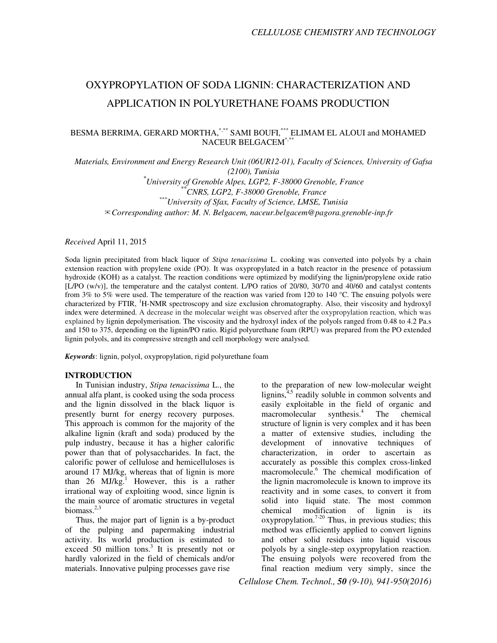# OXYPROPYLATION OF SODA LIGNIN: CHARACTERIZATION AND APPLICATION IN POLYURETHANE FOAMS PRODUCTION

# BESMA BERRIMA, GERARD MORTHA, \*,\*\* SAMI BOUFI,\*\*\* ELIMAM EL ALOUI and MOHAMED NACEUR BELGACEM<sup>\*</sup>

*Materials, Environment and Energy Research Unit (06UR12-01), Faculty of Sciences, University of Gafsa (2100), Tunisia*

*\*University of Grenoble Alpes, LGP2, F-38000 Grenoble, France \*\*CNRS, LGP2, F-38000 Grenoble, France \*\*\*University of Sfax, Faculty of Science, LMSE, Tunisia*  ✉*Corresponding author: M. N. Belgacem, naceur.belgacem@pagora.grenoble-inp.fr* 

*Received* April 11, 2015

Soda lignin precipitated from black liquor of *Stipa tenacissima* L. cooking was converted into polyols by a chain extension reaction with propylene oxide (PO). It was oxypropylated in a batch reactor in the presence of potassium hydroxide (KOH) as a catalyst. The reaction conditions were optimized by modifying the lignin/propylene oxide ratio [L/PO (w/v)], the temperature and the catalyst content. L/PO ratios of 20/80, 30/70 and 40/60 and catalyst contents from 3% to 5% were used. The temperature of the reaction was varied from 120 to 140 °C. The ensuing polyols were characterized by FTIR, <sup>1</sup>H-NMR spectroscopy and size exclusion chromatography. Also, their viscosity and hydroxyl index were determined. A decrease in the molecular weight was observed after the oxypropylation reaction, which was explained by lignin depolymerisation. The viscosity and the hydroxyl index of the polyols ranged from 0.48 to 4.2 Pa.s and 150 to 375, depending on the lignin/PO ratio. Rigid polyurethane foam (RPU) was prepared from the PO extended lignin polyols, and its compressive strength and cell morphology were analysed.

*Keywords*: lignin, polyol, oxypropylation, rigid polyurethane foam

#### **INTRODUCTION**

In Tunisian industry, *Stipa tenacissima* L., the annual alfa plant, is cooked using the soda process and the lignin dissolved in the black liquor is presently burnt for energy recovery purposes. This approach is common for the majority of the alkaline lignin (kraft and soda) produced by the pulp industry, because it has a higher calorific power than that of polysaccharides. In fact, the calorific power of cellulose and hemicelluloses is around 17 MJ/kg, whereas that of lignin is more than 26 MJ/kg.<sup>1</sup> However, this is a rather irrational way of exploiting wood, since lignin is the main source of aromatic structures in vegetal biomass. $2,3$ 

Thus, the major part of lignin is a by-product of the pulping and papermaking industrial activity. Its world production is estimated to exceed 50 million tons.<sup>3</sup> It is presently not or hardly valorized in the field of chemicals and/or materials. Innovative pulping processes gave rise

to the preparation of new low-molecular weight lignins, $4.5$  readily soluble in common solvents and easily exploitable in the field of organic and macromolecular synthesis. $4$  The chemical structure of lignin is very complex and it has been a matter of extensive studies, including the development of innovative techniques of characterization, in order to ascertain as accurately as possible this complex cross-linked macromolecule.<sup>6</sup> The chemical modification of the lignin macromolecule is known to improve its reactivity and in some cases, to convert it from solid into liquid state. The most common chemical modification of lignin is its  $oxy$ propylation.<sup>7-20</sup> Thus, in previous studies; this method was efficiently applied to convert lignins and other solid residues into liquid viscous polyols by a single-step oxypropylation reaction. The ensuing polyols were recovered from the final reaction medium very simply, since the

*Cellulose Chem. Technol., 50 (9-10), 941-950(2016)*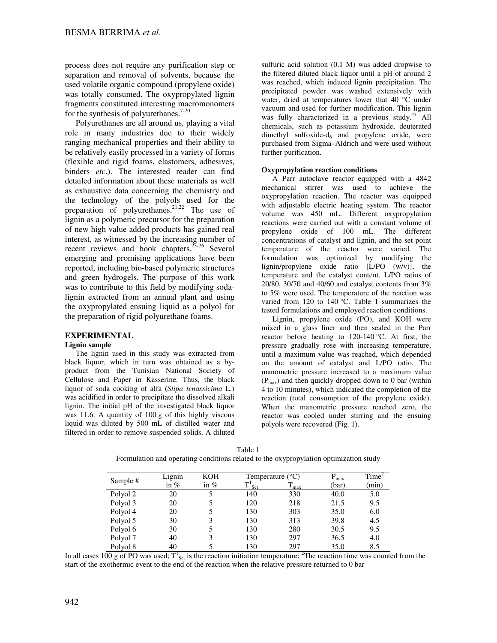process does not require any purification step or separation and removal of solvents, because the used volatile organic compound (propylene oxide) was totally consumed. The oxypropylated lignin fragments constituted interesting macromonomers for the synthesis of polyurethanes.<sup>7-20</sup>

Polyurethanes are all around us, playing a vital role in many industries due to their widely ranging mechanical properties and their ability to be relatively easily processed in a variety of forms (flexible and rigid foams, elastomers, adhesives, binders *etc*.). The interested reader can find detailed information about these materials as well as exhaustive data concerning the chemistry and the technology of the polyols used for the preparation of polyurethanes.<sup>21,22</sup> The use of lignin as a polymeric precursor for the preparation of new high value added products has gained real interest, as witnessed by the increasing number of recent reviews and book chapters.  $23-26$  Several emerging and promising applications have been reported, including bio-based polymeric structures and green hydrogels. The purpose of this work was to contribute to this field by modifying sodalignin extracted from an annual plant and using the oxypropylated ensuing liquid as a polyol for the preparation of rigid polyurethane foams.

# **EXPERIMENTAL**

## **Lignin sample**

The lignin used in this study was extracted from black liquor, which in turn was obtained as a byproduct from the Tunisian National Society of Cellulose and Paper in Kasserine. Thus, the black liquor of soda cooking of alfa (*Stipa tenassicima* L.) was acidified in order to precipitate the dissolved alkali lignin. The initial pH of the investigated black liquor was 11.6. A quantity of 100 g of this highly viscous liquid was diluted by 500 mL of distilled water and filtered in order to remove suspended solids. A diluted

sulfuric acid solution (0.1 M) was added dropwise to the filtered diluted black liquor until a pH of around 2 was reached, which induced lignin precipitation. The precipitated powder was washed extensively with water, dried at temperatures lower that 40 °C under vacuum and used for further modification. This lignin was fully characterized in a previous study.<sup>27</sup> All chemicals, such as potassium hydroxide, deuterated dimethyl sulfoxide- $d_6$  and propylene oxide, were purchased from Sigma–Aldrich and were used without further purification.

## **Oxypropylation reaction conditions**

A Parr autoclave reactor equipped with a 4842 mechanical stirrer was used to achieve the oxypropylation reaction. The reactor was equipped with adjustable electric heating system. The reactor volume was 450 mL. Different oxypropylation reactions were carried out with a constant volume of propylene oxide of 100 mL. The different concentrations of catalyst and lignin, and the set point temperature of the reactor were varied. The formulation was optimized by modifying the lignin/propylene oxide ratio [L/PO (w/v)], the temperature and the catalyst content. L/PO ratios of 20/80, 30/70 and 40/60 and catalyst contents from 3% to 5% were used. The temperature of the reaction was varied from 120 to 140 °C. Table 1 summarizes the tested formulations and employed reaction conditions.

Lignin, propylene oxide (PO), and KOH were mixed in a glass liner and then sealed in the Parr reactor before heating to  $120-140$  °C. At first, the pressure gradually rose with increasing temperature, until a maximum value was reached, which depended on the amount of catalyst and L/PO ratio. The manometric pressure increased to a maximum value  $(P<sub>max</sub>)$  and then quickly dropped down to 0 bar (within 4 to 10 minutes), which indicated the completion of the reaction (total consumption of the propylene oxide). When the manometric pressure reached zero, the reactor was cooled under stirring and the ensuing polyols were recovered (Fig. 1).

|          | Lignin | <b>KOH</b> |                      | Temperature $(^{\circ}C)$ |       | Time <sup>2</sup> |
|----------|--------|------------|----------------------|---------------------------|-------|-------------------|
| Sample # | in $%$ | in $%$     | $T^1$ <sub>Set</sub> | $T_{max}$                 | (bar) | (min)             |
| Polyol 2 | 20     | 5          | 140                  | 330                       | 40.0  | 5.0               |
| Polyol 3 | 20     |            | 120                  | 218                       | 21.5  | 9.5               |
| Polyol 4 | 20     | 5          | 130                  | 303                       | 35.0  | 6.0               |
| Polyol 5 | 30     | 3          | 130                  | 313                       | 39.8  | 4.5               |
| Polyol 6 | 30     | 5          | 130                  | 280                       | 30.5  | 9.5               |
| Polyol 7 | 40     | 3          | 130                  | 297                       | 36.5  | 4.0               |
| Polyol 8 | 40     |            | 130                  | 297                       | 35.0  | 8.5               |

Table 1 Formulation and operating conditions related to the oxypropylation optimization study

In all cases  $100 g$  of PO was used;  $T_{\text{Set}}^1$  is the reaction initiation temperature; <sup>2</sup>The reaction time was counted from the start of the exothermic event to the end of the reaction when the relative pressure returned to 0 bar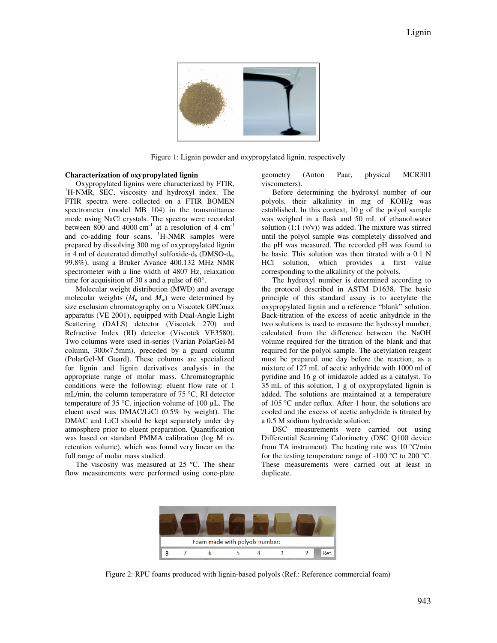

Figure 1: Lignin powder and oxypropylated lignin, respectively

#### **Characterization of oxypropylated lignin**

Oxypropylated lignins were characterized by FTIR, <sup>1</sup>H-NMR, SEC, viscosity and hydroxyl index. The FTIR spectra were collected on a FTIR BOMEN spectrometer (model MB 104) in the transmittance mode using NaCl crystals. The spectra were recorded between 800 and 4000  $\text{cm}^{-1}$  at a resolution of 4  $\text{cm}^{-1}$ and co-adding four scans. <sup>1</sup>H-NMR samples were prepared by dissolving 300 mg of oxypropylated lignin in 4 ml of deuterated dimethyl sulfoxide- $d_6$  (DMSO- $d_6$ , 99.8%), using a Bruker Avance 400.132 MHz NMR spectrometer with a line width of 4807 Hz, relaxation time for acquisition of 30 s and a pulse of 60°.

Molecular weight distribution (MWD) and average molecular weights  $(M_n$  and  $M_w$ ) were determined by size exclusion chromatography on a Viscotek GPCmax apparatus (VE 2001), equipped with Dual-Angle Light Scattering (DALS) detector (Viscotek 270) and Refractive Index (RI) detector (Viscotek VE3580). Two columns were used in-series (Varian PolarGel-M column, 300×7.5mm), preceded by a guard column (PolarGel-M Guard). These columns are specialized for lignin and lignin derivatives analysis in the appropriate range of molar mass. Chromatographic conditions were the following: eluent flow rate of 1 mL/min, the column temperature of 75 °C, RI detector temperature of 35 °C, injection volume of 100 µL. The eluent used was DMAC/LiCl (0.5% by weight). The DMAC and LiCl should be kept separately under dry atmosphere prior to eluent preparation. Quantification was based on standard PMMA calibration (log M *vs*. retention volume), which was found very linear on the full range of molar mass studied.

The viscosity was measured at 25 ºC. The shear flow measurements were performed using cone-plate

geometry (Anton Paar, physical MCR301 viscometers).

Before determining the hydroxyl number of our polyols, their alkalinity in mg of KOH/g was established. In this context, 10 g of the polyol sample was weighed in a flask and 50 mL of ethanol:water solution (1:1 (v/v)) was added. The mixture was stirred until the polyol sample was completely dissolved and the pH was measured. The recorded pH was found to be basic. This solution was then titrated with a 0.1 N HCl solution, which provides a first value corresponding to the alkalinity of the polyols.

The hydroxyl number is determined according to the protocol described in ASTM D1638. The basic principle of this standard assay is to acetylate the oxypropylated lignin and a reference "blank" solution. Back-titration of the excess of acetic anhydride in the two solutions is used to measure the hydroxyl number, calculated from the difference between the NaOH volume required for the titration of the blank and that required for the polyol sample. The acetylation reagent must be prepared one day before the reaction, as a mixture of 127 mL of acetic anhydride with 1000 ml of pyridine and 16 g of imidazole added as a catalyst. To 35 mL of this solution, 1 g of oxypropylated lignin is added. The solutions are maintained at a temperature of 105 °C under reflux. After 1 hour, the solutions are cooled and the excess of acetic anhydride is titrated by a 0.5 M sodium hydroxide solution.

DSC measurements were carried out using Differential Scanning Calorimetry (DSC Q100 device from TA instrument). The heating rate was 10 °C/min for the testing temperature range of  $-100$  °C to 200 °C. These measurements were carried out at least in duplicate.



Figure 2: RPU foams produced with lignin-based polyols (Ref.: Reference commercial foam)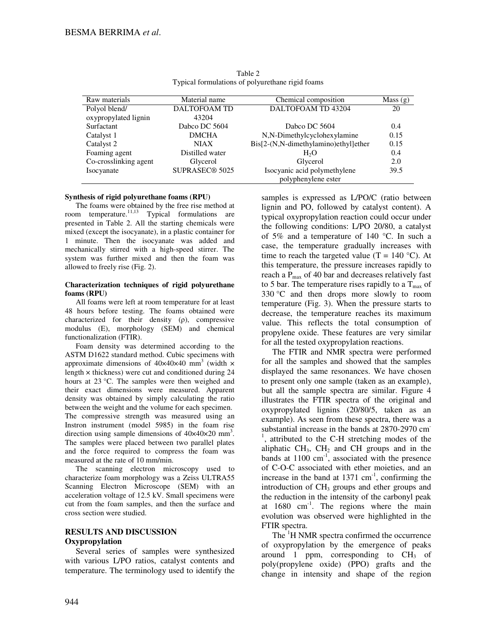| Raw materials         | Material name       | Chemical composition                 | Mass(g) |
|-----------------------|---------------------|--------------------------------------|---------|
| Polyol blend/         | <b>DALTOFOAM TD</b> | DALTOFOAM TD 43204                   | 20      |
| oxypropylated lignin  | 43204               |                                      |         |
| Surfactant            | Dabco DC 5604       | Dabco DC 5604                        | 0.4     |
| Catalyst 1            | <b>DMCHA</b>        | N,N-Dimethylcyclohexylamine          | 0.15    |
| Catalyst 2            | <b>NIAX</b>         | Bis[2-(N,N-dimethylamino)ethyl]ether | 0.15    |
| Foaming agent         | Distilled water     | H <sub>2</sub> O                     | 0.4     |
| Co-crosslinking agent | Glycerol            | Glycerol                             | 2.0     |
| Isocyanate            | SUPRASEC® 5025      | Isocyanic acid polymethylene         | 39.5    |
|                       |                     | polyphenylene ester                  |         |

Table 2 Typical formulations of polyurethane rigid foams

## **Synthesis of rigid polyurethane foams (RPU)**

The foams were obtained by the free rise method at room temperature.<sup>11,13</sup> Typical formulations are presented in Table 2. All the starting chemicals were mixed (except the isocyanate), in a plastic container for 1 minute. Then the isocyanate was added and mechanically stirred with a high-speed stirrer. The system was further mixed and then the foam was allowed to freely rise (Fig. 2).

#### **Characterization techniques of rigid polyurethane foams (RPU)**

All foams were left at room temperature for at least 48 hours before testing. The foams obtained were characterized for their density (ρ), compressive modulus (E), morphology (SEM) and chemical functionalization (FTIR).

Foam density was determined according to the ASTM D1622 standard method. Cubic specimens with approximate dimensions of  $40 \times 40 \times 40$  mm<sup>3</sup> (width  $\times$ length  $\times$  thickness) were cut and conditioned during 24 hours at 23 °C. The samples were then weighed and their exact dimensions were measured. Apparent density was obtained by simply calculating the ratio between the weight and the volume for each specimen. The compressive strength was measured using an Instron instrument (model 5985) in the foam rise direction using sample dimensions of  $40 \times 40 \times 20$  mm<sup>3</sup>. The samples were placed between two parallel plates

and the force required to compress the foam was measured at the rate of 10 mm/min.

The scanning electron microscopy used to characterize foam morphology was a Zeiss ULTRA55 Scanning Electron Microscope (SEM) with an acceleration voltage of 12.5 kV. Small specimens were cut from the foam samples, and then the surface and cross section were studied.

# **RESULTS AND DISCUSSION Oxypropylation**

Several series of samples were synthesized with various L/PO ratios, catalyst contents and temperature. The terminology used to identify the samples is expressed as L/PO/C (ratio between lignin and PO, followed by catalyst content). A typical oxypropylation reaction could occur under the following conditions: L/PO 20/80, a catalyst of 5% and a temperature of 140 °C. In such a case, the temperature gradually increases with time to reach the targeted value (T = 140  $^{\circ}$ C). At this temperature, the pressure increases rapidly to reach a  $P_{\text{max}}$  of 40 bar and decreases relatively fast to 5 bar. The temperature rises rapidly to a  $T_{\text{max}}$  of 330 °C and then drops more slowly to room temperature (Fig. 3). When the pressure starts to decrease, the temperature reaches its maximum value. This reflects the total consumption of propylene oxide. These features are very similar for all the tested oxypropylation reactions.

The FTIR and NMR spectra were performed for all the samples and showed that the samples displayed the same resonances. We have chosen to present only one sample (taken as an example), but all the sample spectra are similar. Figure 4 illustrates the FTIR spectra of the original and oxypropylated lignins (20/80/5, taken as an example). As seen from these spectra, there was a substantial increase in the bands at 2870-2970 cm <sup>1</sup>, attributed to the C-H stretching modes of the aliphatic  $CH_3$ ,  $CH_2$  and  $CH$  groups and in the bands at  $1100 \text{ cm}^{-1}$ , associated with the presence of C-O-C associated with ether moieties, and an increase in the band at  $1371 \text{ cm}^{-1}$ , confirming the introduction of CH<sub>3</sub> groups and ether groups and the reduction in the intensity of the carbonyl peak at  $1680 \text{ cm}^{-1}$ . The regions where the main evolution was observed were highlighted in the FTIR spectra.

The <sup>1</sup>H NMR spectra confirmed the occurrence of oxypropylation by the emergence of peaks around 1 ppm, corresponding to  $CH<sub>3</sub>$  of poly(propylene oxide) (PPO) grafts and the change in intensity and shape of the region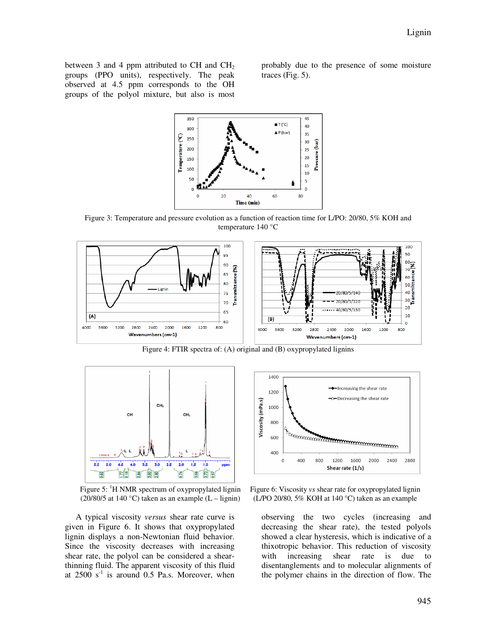between 3 and 4 ppm attributed to CH and  $CH<sub>2</sub>$ groups (PPO units), respectively. The peak observed at 4.5 ppm corresponds to the OH groups of the polyol mixture, but also is most

probably due to the presence of some moisture traces (Fig. 5).



Figure 3: Temperature and pressure evolution as a function of reaction time for L/PO: 20/80, 5% KOH and temperature 140 °C



Figure 4: FTIR spectra of: (A) original and (B) oxypropylated lignins



Figure 5:  $H NMR$  spectrum of oxypropylated lignin (20/80/5 at 140 °C) taken as an example  $(L -$ lignin)

A typical viscosity *versus* shear rate curve is given in Figure 6. It shows that oxypropylated lignin displays a non-Newtonian fluid behavior. Since the viscosity decreases with increasing shear rate, the polyol can be considered a shearthinning fluid. The apparent viscosity of this fluid at  $2500 \text{ s}^{-1}$  is around 0.5 Pa.s. Moreover, when



Figure 6: Viscosity *vs* shear rate for oxypropylated lignin (L/PO 20/80, 5% KOH at 140 °C) taken as an example

observing the two cycles (increasing and decreasing the shear rate), the tested polyols showed a clear hysteresis, which is indicative of a thixotropic behavior. This reduction of viscosity with increasing shear rate is due to disentanglements and to molecular alignments of the polymer chains in the direction of flow. The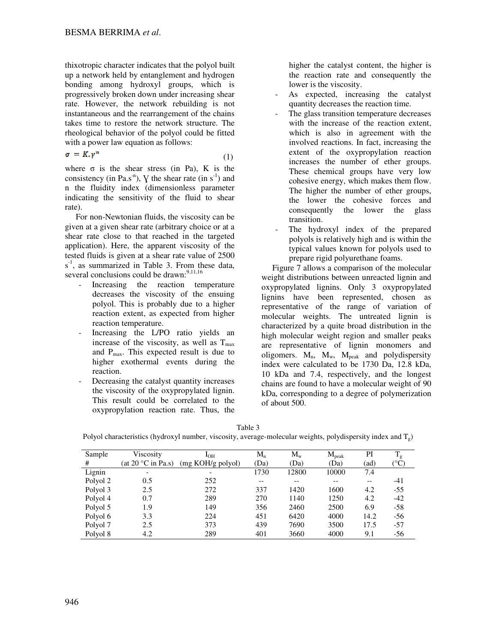thixotropic character indicates that the polyol built up a network held by entanglement and hydrogen bonding among hydroxyl groups, which is progressively broken down under increasing shear rate. However, the network rebuilding is not instantaneous and the rearrangement of the chains takes time to restore the network structure. The rheological behavior of the polyol could be fitted with a power law equation as follows:

$$
\sigma = K \cdot \gamma^n \tag{1}
$$

where  $\sigma$  is the shear stress (in Pa), K is the consistency (in Pa.s<sup>-n</sup>), V the shear rate (in  $s^{-1}$ ) and n the fluidity index (dimensionless parameter indicating the sensitivity of the fluid to shear rate).

For non-Newtonian fluids, the viscosity can be given at a given shear rate (arbitrary choice or at a shear rate close to that reached in the targeted application). Here, the apparent viscosity of the tested fluids is given at a shear rate value of 2500  $s<sup>-1</sup>$ , as summarized in Table 3. From these data, several conclusions could be drawn:<sup>9,11,16</sup>

- Increasing the reaction temperature decreases the viscosity of the ensuing polyol. This is probably due to a higher reaction extent, as expected from higher reaction temperature.
- Increasing the L/PO ratio yields an increase of the viscosity, as well as  $T_{\text{max}}$ and  $P_{\text{max}}$ . This expected result is due to higher exothermal events during the reaction.
- Decreasing the catalyst quantity increases the viscosity of the oxypropylated lignin. This result could be correlated to the oxypropylation reaction rate. Thus, the

higher the catalyst content, the higher is the reaction rate and consequently the lower is the viscosity.

- As expected, increasing the catalyst quantity decreases the reaction time.
- The glass transition temperature decreases with the increase of the reaction extent, which is also in agreement with the involved reactions. In fact, increasing the extent of the oxypropylation reaction increases the number of ether groups. These chemical groups have very low cohesive energy, which makes them flow. The higher the number of ether groups, the lower the cohesive forces and consequently the lower the glass transition.
- The hydroxyl index of the prepared polyols is relatively high and is within the typical values known for polyols used to prepare rigid polyurethane foams.

Figure 7 allows a comparison of the molecular weight distributions between unreacted lignin and oxypropylated lignins. Only 3 oxypropylated lignins have been represented, chosen as representative of the range of variation of molecular weights. The untreated lignin is characterized by a quite broad distribution in the high molecular weight region and smaller peaks are representative of lignin monomers and oligomers.  $M_n$ ,  $M_w$ ,  $M_{peak}$  and polydispersity index were calculated to be 1730 Da, 12.8 kDa, 10 kDa and 7.4, respectively, and the longest chains are found to have a molecular weight of 90 kDa, corresponding to a degree of polymerization of about 500.

| I                   |         |
|---------------------|---------|
| M.<br>۰.<br>۰,<br>٠ | ۰,<br>٠ |

Polyol characteristics (hydroxyl number, viscosity, average-molecular weights, polydispersity index and  $T_g$ )

| Sample   | Viscosity                            | $I_{OH}$          | $M_{n}$ | $M_{w}$ | $M_{\rm peak}$ | PI    | $T_g$                  |
|----------|--------------------------------------|-------------------|---------|---------|----------------|-------|------------------------|
| #        | (at 20 $\mathrm{^{\circ}C}$ in Pa.s) | (mg KOH/g polyol) | (Da)    | (Da)    | (Da)           | (ad)  | $({}^\circ\mathrm{C})$ |
| Lignin   | $\overline{\phantom{a}}$             |                   | 1730    | 12800   | 10000          | 7.4   |                        |
| Polyol 2 | 0.5                                  | 252               | $- -$   | $- -$   | --             | $- -$ | -41                    |
| Polyol 3 | 2.5                                  | 272               | 337     | 1420    | 1600           | 4.2   | $-55$                  |
| Polyol 4 | 0.7                                  | 289               | 270     | 1140    | 1250           | 4.2   | $-42$                  |
| Polyol 5 | 1.9                                  | 149               | 356     | 2460    | 2500           | 6.9   | $-58$                  |
| Polyol 6 | 3.3                                  | 224               | 451     | 6420    | 4000           | 14.2  | $-56$                  |
| Polyol 7 | 2.5                                  | 373               | 439     | 7690    | 3500           | 17.5  | $-57$                  |
| Polyol 8 | 4.2                                  | 289               | 401     | 3660    | 4000           | 9.1   | $-56$                  |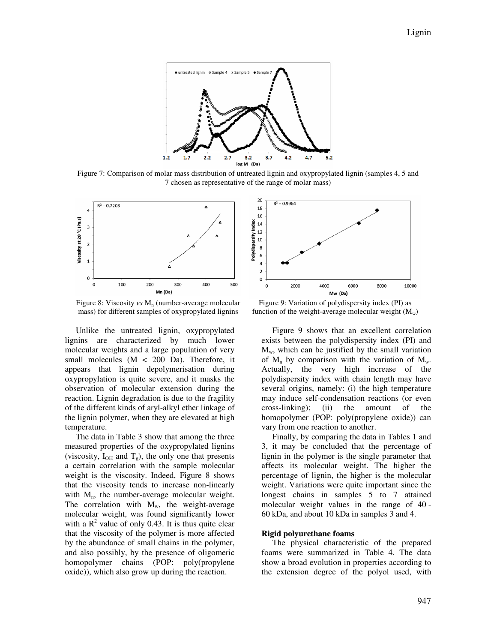

Figure 7: Comparison of molar mass distribution of untreated lignin and oxypropylated lignin (samples 4, 5 and 7 chosen as representative of the range of molar mass)



Figure 8: Viscosity *vs* M<sub>n</sub> (number-average molecular mass) for different samples of oxypropylated lignins

Unlike the untreated lignin, oxypropylated lignins are characterized by much lower molecular weights and a large population of very small molecules  $(M < 200$  Da). Therefore, it appears that lignin depolymerisation during oxypropylation is quite severe, and it masks the observation of molecular extension during the reaction. Lignin degradation is due to the fragility of the different kinds of aryl-alkyl ether linkage of the lignin polymer, when they are elevated at high temperature.

The data in Table 3 show that among the three measured properties of the oxypropylated lignins (viscosity,  $I_{OH}$  and  $T<sub>g</sub>$ ), the only one that presents a certain correlation with the sample molecular weight is the viscosity. Indeed, Figure 8 shows that the viscosity tends to increase non-linearly with  $M_n$ , the number-average molecular weight. The correlation with  $M_w$ , the weight-average molecular weight, was found significantly lower with a  $R^2$  value of only 0.43. It is thus quite clear that the viscosity of the polymer is more affected by the abundance of small chains in the polymer, and also possibly, by the presence of oligomeric homopolymer chains (POP: poly(propylene oxide)), which also grow up during the reaction.



Figure 9: Variation of polydispersity index (PI) as function of the weight-average molecular weight  $(M_w)$ 

Figure 9 shows that an excellent correlation exists between the polydispersity index (PI) and  $M_w$ , which can be justified by the small variation of  $M_n$  by comparison with the variation of  $M_w$ . Actually, the very high increase of the polydispersity index with chain length may have several origins, namely: (i) the high temperature may induce self-condensation reactions (or even cross-linking); (ii) the amount of the homopolymer (POP: poly(propylene oxide)) can vary from one reaction to another.

Finally, by comparing the data in Tables 1 and 3, it may be concluded that the percentage of lignin in the polymer is the single parameter that affects its molecular weight. The higher the percentage of lignin, the higher is the molecular weight. Variations were quite important since the longest chains in samples 5 to 7 attained molecular weight values in the range of 40 - 60 kDa, and about 10 kDa in samples 3 and 4.

#### **Rigid polyurethane foams**

The physical characteristic of the prepared foams were summarized in Table 4. The data show a broad evolution in properties according to the extension degree of the polyol used, with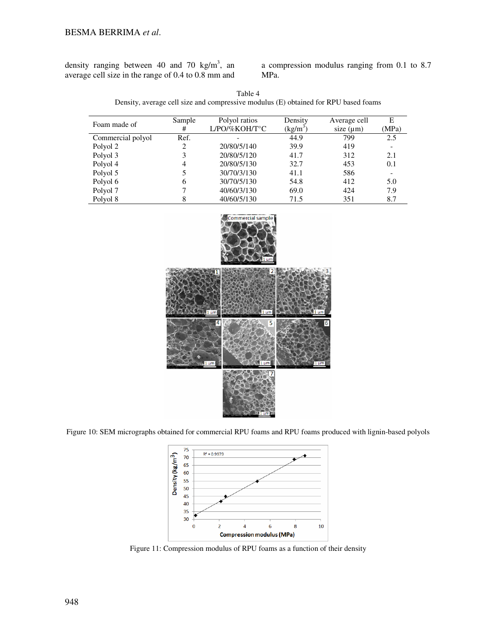density ranging between 40 and 70 kg/m<sup>3</sup>, an average cell size in the range of 0.4 to 0.8 mm and

a compression modulus ranging from 0.1 to 8.7 MPa.

| Table 4                                                                             |
|-------------------------------------------------------------------------------------|
| Density, average cell size and compressive modulus (E) obtained for RPU based foams |

| Foam made of      | Sample | Polyol ratios    | Density    | Average cell   | E     |
|-------------------|--------|------------------|------------|----------------|-------|
|                   | #      | $L$ /PO/%KOH/T°C | $(kg/m^3)$ | size $(\mu m)$ | (MPa) |
| Commercial polyol | Ref.   |                  | 44.9       | 799            | 2.5   |
| Polyol 2          | 2      | 20/80/5/140      | 39.9       | 419            |       |
| Polyol 3          | 3      | 20/80/5/120      | 41.7       | 312            | 2.1   |
| Polyol 4          | 4      | 20/80/5/130      | 32.7       | 453            | 0.1   |
| Polyol 5          | 5      | 30/70/3/130      | 41.1       | 586            |       |
| Polyol 6          | 6      | 30/70/5/130      | 54.8       | 412            | 5.0   |
| Polyol 7          |        | 40/60/3/130      | 69.0       | 424            | 7.9   |
| Polyol 8          | 8      | 40/60/5/130      | 71.5       | 351            | 8.7   |



Figure 10: SEM micrographs obtained for commercial RPU foams and RPU foams produced with lignin-based polyols



Figure 11: Compression modulus of RPU foams as a function of their density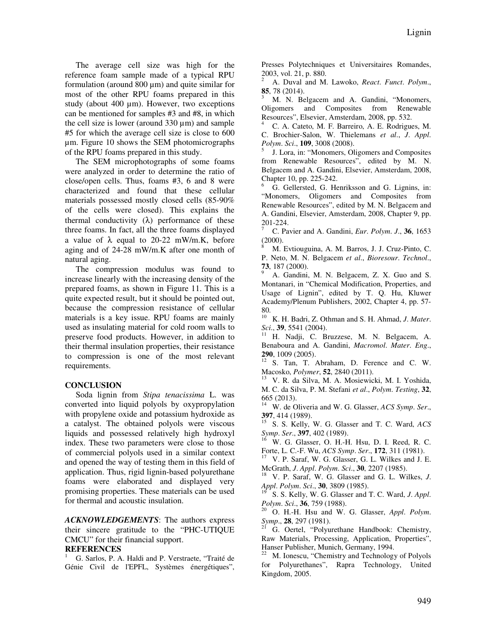The average cell size was high for the reference foam sample made of a typical RPU formulation (around  $800 \,\mu m$ ) and quite similar for most of the other RPU foams prepared in this study (about 400 µm). However, two exceptions can be mentioned for samples #3 and #8, in which the cell size is lower (around  $330 \mu m$ ) and sample #5 for which the average cell size is close to 600 µm. Figure 10 shows the SEM photomicrographs of the RPU foams prepared in this study.

The SEM microphotographs of some foams were analyzed in order to determine the ratio of close/open cells. Thus, foams #3, 6 and 8 were characterized and found that these cellular materials possessed mostly closed cells (85-90% of the cells were closed). This explains the thermal conductivity  $(\lambda)$  performance of these three foams. In fact, all the three foams displayed a value of  $\lambda$  equal to 20-22 mW/m.K, before aging and of 24-28 mW/m.K after one month of natural aging.

The compression modulus was found to increase linearly with the increasing density of the prepared foams, as shown in Figure 11. This is a quite expected result, but it should be pointed out, because the compression resistance of cellular materials is a key issue. RPU foams are mainly used as insulating material for cold room walls to preserve food products. However, in addition to their thermal insulation properties, their resistance to compression is one of the most relevant requirements.

## **CONCLUSION**

Soda lignin from *Stipa tenacissima* L. was converted into liquid polyols by oxypropylation with propylene oxide and potassium hydroxide as a catalyst. The obtained polyols were viscous liquids and possessed relatively high hydroxyl index. These two parameters were close to those of commercial polyols used in a similar context and opened the way of testing them in this field of application. Thus, rigid lignin-based polyurethane foams were elaborated and displayed very promising properties. These materials can be used for thermal and acoustic insulation.

*ACKNOWLEDGEMENTS*: The authors express their sincere gratitude to the "PHC-UTIQUE CMCU" for their financial support.

## **REFERENCES**

<sup>1</sup> G. Sarlos, P. A. Haldi and P. Verstraete, "Traité de Génie Civil de l'EPFL, Systèmes énergétiques",

Presses Polytechniques et Universitaires Romandes, 2003, vol. 21, p. 880.

<sup>2</sup> A. Duval and M. Lawoko, *React*. *Funct*. *Polym*., **85**, 78 (2014).

M. N. Belgacem and A. Gandini, "Monomers, Oligomers and Composites from Renewable Resources", Elsevier, Amsterdam, 2008, pp. 532.

<sup>4</sup> C. A. Cateto, M. F. Barreiro, A. E. Rodrigues, M. C. Brochier-Salon, W. Thielemans *et al*., *J*. *Appl*. *Polym*. *Sci*., **109**, 3008 (2008).

5 J. Lora, in: "Monomers, Oligomers and Composites from Renewable Resources", edited by M. N. Belgacem and A. Gandini, Elsevier, Amsterdam, 2008, Chapter 10, pp. 225-242.

<sup>6</sup> G. Gellersted, G. Henriksson and G. Lignins, in: "Monomers, Oligomers and Composites from Renewable Resources", edited by M. N. Belgacem and A. Gandini, Elsevier, Amsterdam, 2008, Chapter 9, pp. 201-224.

<sup>7</sup> C. Pavier and A. Gandini, *Eur*. *Polym*. *J*., **36**, 1653 (2000).

<sup>8</sup> M. Evtiouguina, A. M. Barros, J. J. Cruz-Pinto, C. P. Neto, M. N. Belgacem *et al*., *Bioresour*. *Technol*., **73**, 187 (2000).

<sup>9</sup> A. Gandini, M. N. Belgacem, Z. X. Guo and S. Montanari, in "Chemical Modification, Properties, and Usage of Lignin", edited by T. Q. Hu, Kluwer Academy/Plenum Publishers, 2002, Chapter 4, pp. 57- 80.

<sup>10</sup> K. H. Badri, Z. Othman and S. H. Ahmad, *J*. *Mater*. *Sci*., **39**, 5541 (2004).

<sup>11</sup> H. Nadji, C. Bruzzese, M. N. Belgacem, A. Benaboura and A. Gandini, *Macromol*. *Mater*. *Eng*., **290**, 1009 (2005).

<sup>12</sup> S. Tan, T. Abraham, D. Ference and C. W. Macosko, *Polymer*, **52**, 2840 (2011).

<sup>13</sup> V. R. da Silva, M. A. Mosiewicki, M. I. Yoshida, M. C. da Silva, P. M. Stefani *et al*., *Polym*. *Testing*, **32**, 665 (2013).

<sup>14</sup> W. de Oliveria and W. G. Glasser, *ACS Symp*. *Ser*., **397**, 414 (1989).

<sup>15</sup> S. S. Kelly, W. G. Glasser and T. C. Ward, *ACS Symp. Ser.*, **397**, 402 (1989).

W. G. Glasser, O. H.-H. Hsu, D. I. Reed, R. C. Forte, L. C.-F. Wu, *ACS Symp*. *Ser*., **172**, 311 (1981).

<sup>17</sup> V. P. Saraf, W. G. Glasser, G. L. Wilkes and J. E. McGrath, *J*. *Appl*. *Polym*. *Sci*., **30**, 2207 (1985).

<sup>18</sup> V. P. Saraf, W. G. Glasser and G. L. Wilkes, *J*. *Appl*. *Polym*. *Sci*., **30**, 3809 (1985).

<sup>19</sup> S. S. Kelly, W. G. Glasser and T. C. Ward, *J*. *Appl*. *Polym*. *Sci*., **36**, 759 (1988).

<sup>20</sup> O. H.-H. Hsu and W. G. Glasser, *Appl*. *Polym*. *Symp.*, **28**, **297** (1981).

<sup>21</sup> G. Oertel, "Polyurethane Handbook: Chemistry, Raw Materials, Processing, Application, Properties", Hanser Publisher, Munich, Germany, 1994.

 $22$  M. Ionescu, "Chemistry and Technology of Polyols for Polyurethanes", Rapra Technology, United Kingdom, 2005.